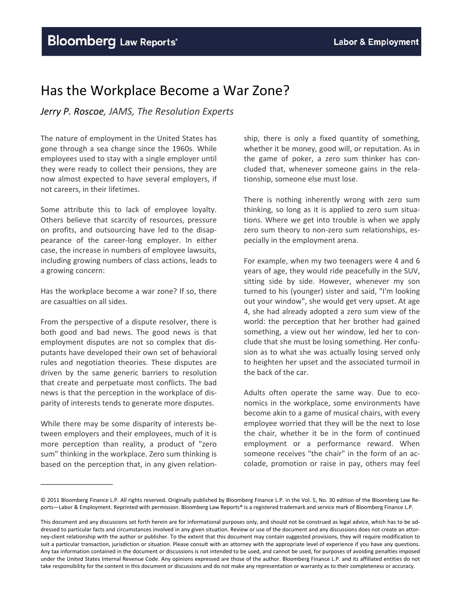## Has the Workplace Become a War Zone?

*Jerry P. Roscoe, JAMS, The Resolution Experts* 

The nature of employment in the United States has gone through a sea change since the 1960s. While employees used to stay with a single employer until they were ready to collect their pensions, they are now almost expected to have several employers, if not careers, in their lifetimes.

Some attribute this to lack of employee loyalty. Others believe that scarcity of resources, pressure on profits, and outsourcing have led to the disap‐ pearance of the career‐long employer. In either case, the increase in numbers of employee lawsuits, including growing numbers of class actions, leads to a growing concern:

Has the workplace become a war zone? If so, there are casualties on all sides.

From the perspective of a dispute resolver, there is both good and bad news. The good news is that employment disputes are not so complex that dis‐ putants have developed their own set of behavioral rules and negotiation theories. These disputes are driven by the same generic barriers to resolution that create and perpetuate most conflicts. The bad news is that the perception in the workplace of dis‐ parity of interests tends to generate more disputes.

While there may be some disparity of interests between employers and their employees, much of it is more perception than reality, a product of "zero sum" thinking in the workplace. Zero sum thinking is based on the perception that, in any given relation‐

\_\_\_\_\_\_\_\_\_\_\_\_\_\_\_\_

ship, there is only a fixed quantity of something, whether it be money, good will, or reputation. As in the game of poker, a zero sum thinker has con‐ cluded that, whenever someone gains in the rela‐ tionship, someone else must lose.

There is nothing inherently wrong with zero sum thinking, so long as it is applied to zero sum situa‐ tions. Where we get into trouble is when we apply zero sum theory to non-zero sum relationships, especially in the employment arena.

For example, when my two teenagers were 4 and 6 years of age, they would ride peacefully in the SUV, sitting side by side. However, whenever my son turned to his (younger) sister and said, "I'm looking out your window", she would get very upset. At age 4, she had already adopted a zero sum view of the world: the perception that her brother had gained something, a view out her window, led her to con‐ clude that she must be losing something. Her confu‐ sion as to what she was actually losing served only to heighten her upset and the associated turmoil in the back of the car.

Adults often operate the same way. Due to eco‐ nomics in the workplace, some environments have become akin to a game of musical chairs, with every employee worried that they will be the next to lose the chair, whether it be in the form of continued employment or a performance reward. When someone receives "the chair" in the form of an accolade, promotion or raise in pay, others may feel

<sup>©</sup> 2011 Bloomberg Finance L.P. All rights reserved. Originally published by Bloomberg Finance L.P. in the Vol. 5, No. 30 edition of the Bloomberg Law Re‐ ports—Labor & Employment. Reprinted with permission. Bloomberg Law Reports® is a registered trademark and service mark of Bloomberg Finance L.P.

This document and any discussions set forth herein are for informational purposes only, and should not be construed as legal advice, which has to be ad‐ dressed to particular facts and circumstances involved in any given situation. Review or use of the document and any discussions does not create an attorney-client relationship with the author or publisher. To the extent that this document may contain suggested provisions, they will require modification to suit a particular transaction, jurisdiction or situation. Please consult with an attorney with the appropriate level of experience if you have any questions. Any tax information contained in the document or discussions is not intended to be used, and cannot be used, for purposes of avoiding penalties imposed under the United States Internal Revenue Code. Any opinions expressed are those of the author. Bloomberg Finance L.P. and its affiliated entities do not take responsibility for the content in this document or discussions and do not make any representation or warranty as to their completeness or accuracy.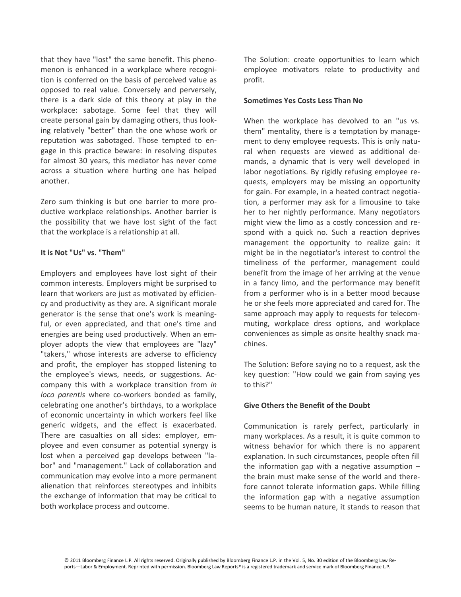that they have "lost" the same benefit. This pheno‐ menon is enhanced in a workplace where recognition is conferred on the basis of perceived value as opposed to real value. Conversely and perversely, there is a dark side of this theory at play in the workplace: sabotage. Some feel that they will create personal gain by damaging others, thus look‐ ing relatively "better" than the one whose work or reputation was sabotaged. Those tempted to en‐ gage in this practice beware: in resolving disputes for almost 30 years, this mediator has never come across a situation where hurting one has helped another.

Zero sum thinking is but one barrier to more pro‐ ductive workplace relationships. Another barrier is the possibility that we have lost sight of the fact that the workplace is a relationship at all.

## **It is Not "Us" vs. "Them"**

Employers and employees have lost sight of their common interests. Employers might be surprised to learn that workers are just as motivated by efficien‐ cy and productivity as they are. A significant morale generator is the sense that one's work is meaning‐ ful, or even appreciated, and that one's time and energies are being used productively. When an em‐ ployer adopts the view that employees are "lazy" "takers," whose interests are adverse to efficiency and profit, the employer has stopped listening to the employee's views, needs, or suggestions. Ac‐ company this with a workplace transition from *in loco parentis* where co‐workers bonded as family, celebrating one another's birthdays, to a workplace of economic uncertainty in which workers feel like generic widgets, and the effect is exacerbated. There are casualties on all sides: employer, em‐ ployee and even consumer as potential synergy is lost when a perceived gap develops between "labor" and "management." Lack of collaboration and communication may evolve into a more permanent alienation that reinforces stereotypes and inhibits the exchange of information that may be critical to both workplace process and outcome.

The Solution: create opportunities to learn which employee motivators relate to productivity and profit.

## **Sometimes Yes Costs Less Than No**

When the workplace has devolved to an "us vs. them" mentality, there is a temptation by manage‐ ment to deny employee requests. This is only natural when requests are viewed as additional de‐ mands, a dynamic that is very well developed in labor negotiations. By rigidly refusing employee re‐ quests, employers may be missing an opportunity for gain. For example, in a heated contract negotia‐ tion, a performer may ask for a limousine to take her to her nightly performance. Many negotiators might view the limo as a costly concession and re‐ spond with a quick no. Such a reaction deprives management the opportunity to realize gain: it might be in the negotiator's interest to control the timeliness of the performer, management could benefit from the image of her arriving at the venue in a fancy limo, and the performance may benefit from a performer who is in a better mood because he or she feels more appreciated and cared for. The same approach may apply to requests for telecom‐ muting, workplace dress options, and workplace conveniences as simple as onsite healthy snack ma‐ chines.

The Solution: Before saying no to a request, ask the key question: "How could we gain from saying yes to this?"

## **Give Others the Benefit of the Doubt**

Communication is rarely perfect, particularly in many workplaces. As a result, it is quite common to witness behavior for which there is no apparent explanation. In such circumstances, people often fill the information gap with a negative assumption  $$ the brain must make sense of the world and there‐ fore cannot tolerate information gaps. While filling the information gap with a negative assumption seems to be human nature, it stands to reason that